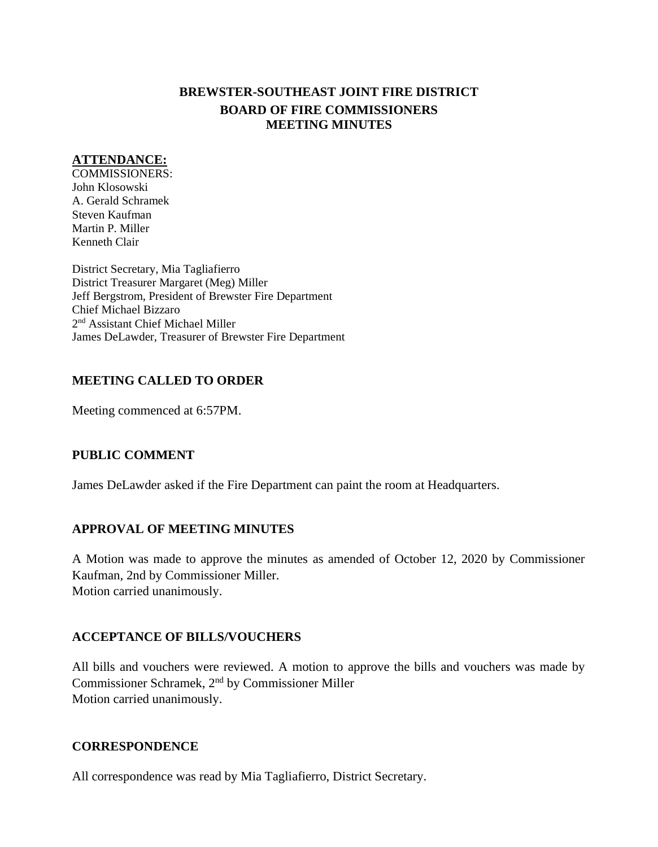# **BREWSTER-SOUTHEAST JOINT FIRE DISTRICT BOARD OF FIRE COMMISSIONERS MEETING MINUTES**

## **ATTENDANCE:**

COMMISSIONERS: John Klosowski A. Gerald Schramek Steven Kaufman Martin P. Miller Kenneth Clair

District Secretary, Mia Tagliafierro District Treasurer Margaret (Meg) Miller Jeff Bergstrom, President of Brewster Fire Department Chief Michael Bizzaro 2<sup>nd</sup> Assistant Chief Michael Miller James DeLawder, Treasurer of Brewster Fire Department

# **MEETING CALLED TO ORDER**

Meeting commenced at 6:57PM.

# **PUBLIC COMMENT**

James DeLawder asked if the Fire Department can paint the room at Headquarters.

# **APPROVAL OF MEETING MINUTES**

A Motion was made to approve the minutes as amended of October 12, 2020 by Commissioner Kaufman, 2nd by Commissioner Miller. Motion carried unanimously.

# **ACCEPTANCE OF BILLS/VOUCHERS**

All bills and vouchers were reviewed. A motion to approve the bills and vouchers was made by Commissioner Schramek, 2 nd by Commissioner Miller Motion carried unanimously.

# **CORRESPONDENCE**

All correspondence was read by Mia Tagliafierro, District Secretary.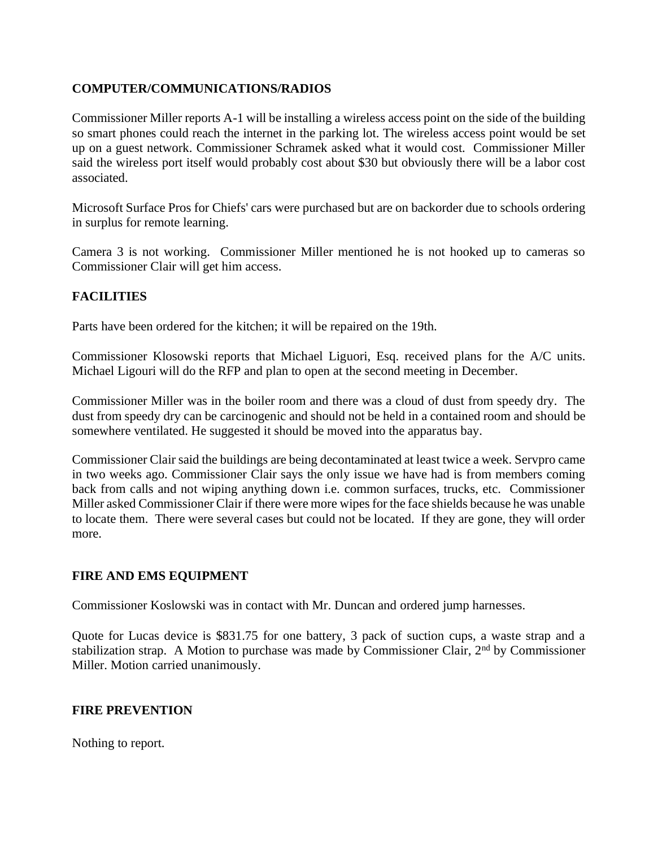# **COMPUTER/COMMUNICATIONS/RADIOS**

Commissioner Miller reports A-1 will be installing a wireless access point on the side of the building so smart phones could reach the internet in the parking lot. The wireless access point would be set up on a guest network. Commissioner Schramek asked what it would cost. Commissioner Miller said the wireless port itself would probably cost about \$30 but obviously there will be a labor cost associated.

Microsoft Surface Pros for Chiefs' cars were purchased but are on backorder due to schools ordering in surplus for remote learning.

Camera 3 is not working. Commissioner Miller mentioned he is not hooked up to cameras so Commissioner Clair will get him access.

# **FACILITIES**

Parts have been ordered for the kitchen; it will be repaired on the 19th.

Commissioner Klosowski reports that Michael Liguori, Esq. received plans for the A/C units. Michael Ligouri will do the RFP and plan to open at the second meeting in December.

Commissioner Miller was in the boiler room and there was a cloud of dust from speedy dry. The dust from speedy dry can be carcinogenic and should not be held in a contained room and should be somewhere ventilated. He suggested it should be moved into the apparatus bay.

Commissioner Clair said the buildings are being decontaminated at least twice a week. Servpro came in two weeks ago. Commissioner Clair says the only issue we have had is from members coming back from calls and not wiping anything down i.e. common surfaces, trucks, etc. Commissioner Miller asked Commissioner Clair if there were more wipes for the face shields because he was unable to locate them. There were several cases but could not be located. If they are gone, they will order more.

# **FIRE AND EMS EQUIPMENT**

Commissioner Koslowski was in contact with Mr. Duncan and ordered jump harnesses.

Quote for Lucas device is \$831.75 for one battery, 3 pack of suction cups, a waste strap and a stabilization strap. A Motion to purchase was made by Commissioner Clair,  $2<sup>nd</sup>$  by Commissioner Miller. Motion carried unanimously.

# **FIRE PREVENTION**

Nothing to report.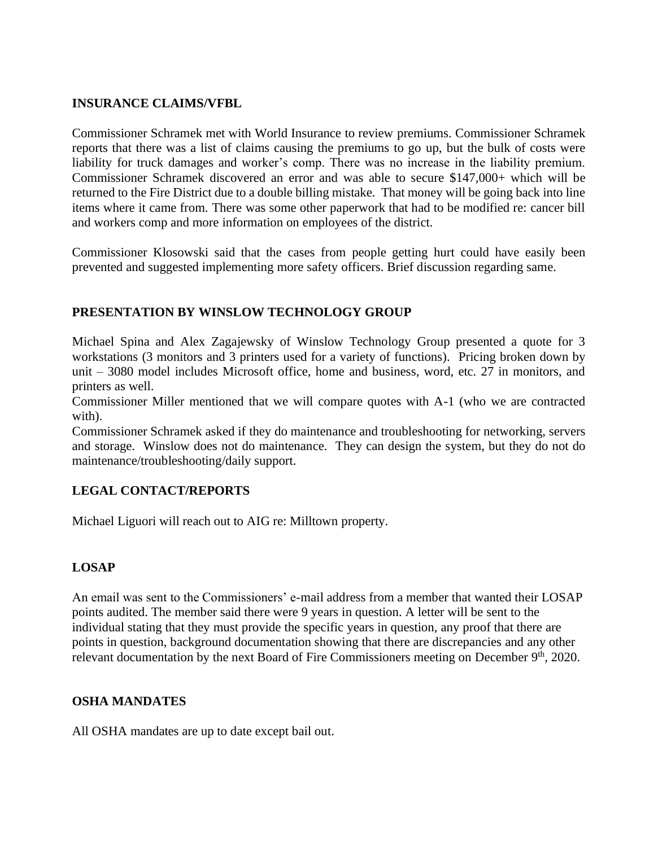### **INSURANCE CLAIMS/VFBL**

Commissioner Schramek met with World Insurance to review premiums. Commissioner Schramek reports that there was a list of claims causing the premiums to go up, but the bulk of costs were liability for truck damages and worker's comp. There was no increase in the liability premium. Commissioner Schramek discovered an error and was able to secure \$147,000+ which will be returned to the Fire District due to a double billing mistake. That money will be going back into line items where it came from. There was some other paperwork that had to be modified re: cancer bill and workers comp and more information on employees of the district.

Commissioner Klosowski said that the cases from people getting hurt could have easily been prevented and suggested implementing more safety officers. Brief discussion regarding same.

# **PRESENTATION BY WINSLOW TECHNOLOGY GROUP**

Michael Spina and Alex Zagajewsky of Winslow Technology Group presented a quote for 3 workstations (3 monitors and 3 printers used for a variety of functions). Pricing broken down by unit – 3080 model includes Microsoft office, home and business, word, etc. 27 in monitors, and printers as well.

Commissioner Miller mentioned that we will compare quotes with A-1 (who we are contracted with).

Commissioner Schramek asked if they do maintenance and troubleshooting for networking, servers and storage. Winslow does not do maintenance. They can design the system, but they do not do maintenance/troubleshooting/daily support.

# **LEGAL CONTACT/REPORTS**

Michael Liguori will reach out to AIG re: Milltown property.

# **LOSAP**

An email was sent to the Commissioners' e-mail address from a member that wanted their LOSAP points audited. The member said there were 9 years in question. A letter will be sent to the individual stating that they must provide the specific years in question, any proof that there are points in question, background documentation showing that there are discrepancies and any other relevant documentation by the next Board of Fire Commissioners meeting on December 9<sup>th</sup>, 2020.

# **OSHA MANDATES**

All OSHA mandates are up to date except bail out.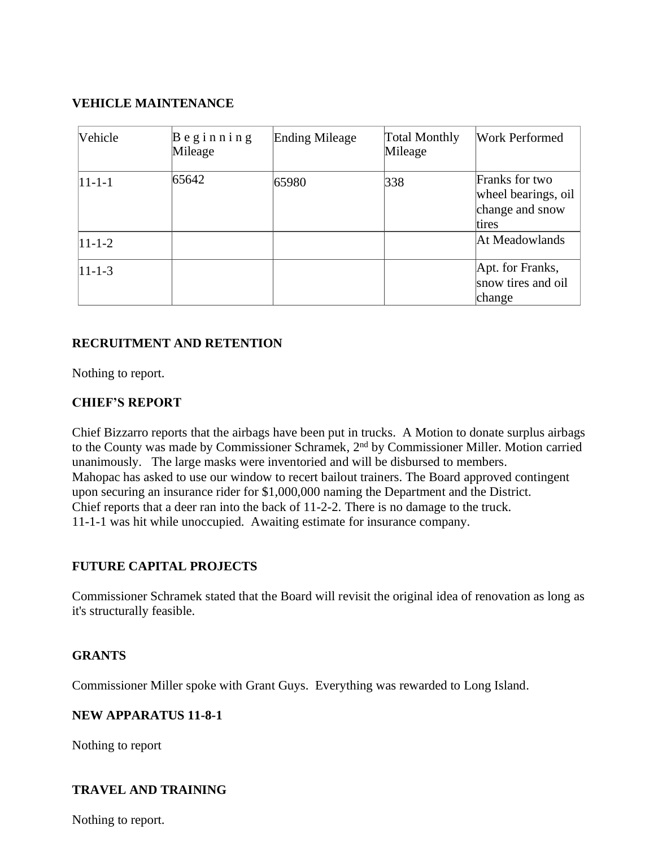# **VEHICLE MAINTENANCE**

| Vehicle      | $B$ eginning<br>Mileage | <b>Ending Mileage</b> | <b>Total Monthly</b><br>Mileage | <b>Work Performed</b>                                             |
|--------------|-------------------------|-----------------------|---------------------------------|-------------------------------------------------------------------|
| $11 - 1 - 1$ | 65642                   | 65980                 | 338                             | Franks for two<br>wheel bearings, oil<br>change and snow<br>tires |
| $11 - 1 - 2$ |                         |                       |                                 | At Meadowlands                                                    |
| $11 - 1 - 3$ |                         |                       |                                 | Apt. for Franks,<br>snow tires and oil<br>change                  |

### **RECRUITMENT AND RETENTION**

Nothing to report.

### **CHIEF'S REPORT**

Chief Bizzarro reports that the airbags have been put in trucks. A Motion to donate surplus airbags to the County was made by Commissioner Schramek, 2<sup>nd</sup> by Commissioner Miller. Motion carried unanimously. The large masks were inventoried and will be disbursed to members. Mahopac has asked to use our window to recert bailout trainers. The Board approved contingent upon securing an insurance rider for \$1,000,000 naming the Department and the District. Chief reports that a deer ran into the back of 11-2-2. There is no damage to the truck. 11-1-1 was hit while unoccupied. Awaiting estimate for insurance company.

# **FUTURE CAPITAL PROJECTS**

Commissioner Schramek stated that the Board will revisit the original idea of renovation as long as it's structurally feasible.

#### **GRANTS**

Commissioner Miller spoke with Grant Guys. Everything was rewarded to Long Island.

#### **NEW APPARATUS 11-8-1**

Nothing to report

# **TRAVEL AND TRAINING**

Nothing to report.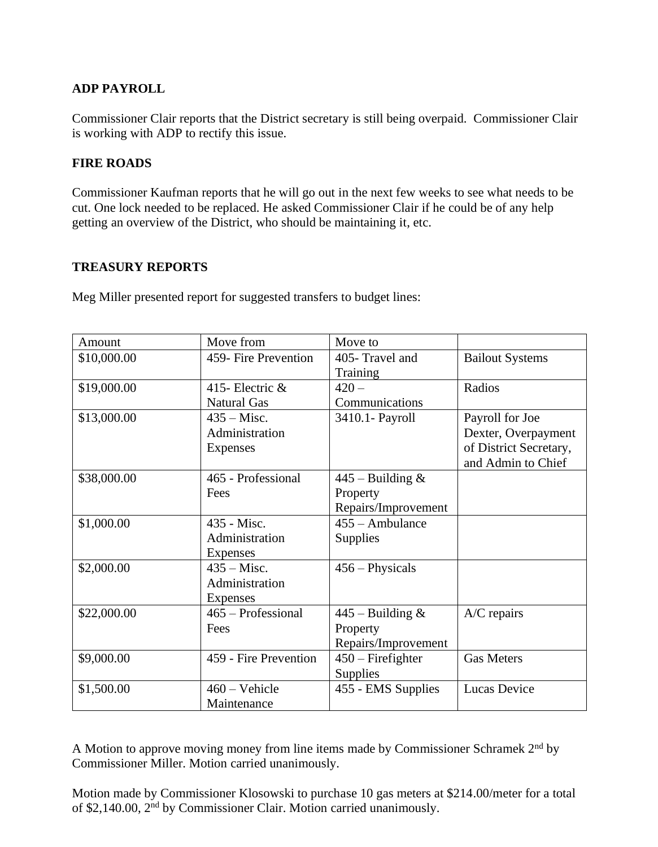# **ADP PAYROLL**

Commissioner Clair reports that the District secretary is still being overpaid. Commissioner Clair is working with ADP to rectify this issue.

# **FIRE ROADS**

Commissioner Kaufman reports that he will go out in the next few weeks to see what needs to be cut. One lock needed to be replaced. He asked Commissioner Clair if he could be of any help getting an overview of the District, who should be maintaining it, etc.

# **TREASURY REPORTS**

Meg Miller presented report for suggested transfers to budget lines:

| Amount      | Move from             | Move to             |                        |
|-------------|-----------------------|---------------------|------------------------|
| \$10,000.00 | 459- Fire Prevention  | 405- Travel and     | <b>Bailout Systems</b> |
|             |                       | Training            |                        |
| \$19,000.00 | 415- Electric &       | $420 -$             | Radios                 |
|             | <b>Natural Gas</b>    | Communications      |                        |
| \$13,000.00 | $435 -$ Misc.         | 3410.1- Payroll     | Payroll for Joe        |
|             | Administration        |                     | Dexter, Overpayment    |
|             | Expenses              |                     | of District Secretary, |
|             |                       |                     | and Admin to Chief     |
| \$38,000.00 | 465 - Professional    | $445$ – Building &  |                        |
|             | Fees                  | Property            |                        |
|             |                       | Repairs/Improvement |                        |
| \$1,000.00  | 435 - Misc.           | 455 - Ambulance     |                        |
|             | Administration        | Supplies            |                        |
|             | Expenses              |                     |                        |
| \$2,000.00  | $435 -$ Misc.         | $456 - Physicsals$  |                        |
|             | Administration        |                     |                        |
|             | Expenses              |                     |                        |
| \$22,000.00 | 465 – Professional    | $445$ – Building &  | A/C repairs            |
|             | Fees                  | Property            |                        |
|             |                       | Repairs/Improvement |                        |
| \$9,000.00  | 459 - Fire Prevention | $450$ – Firefighter | <b>Gas Meters</b>      |
|             |                       | Supplies            |                        |
| \$1,500.00  | $460 - Vehicle$       | 455 - EMS Supplies  | Lucas Device           |
|             | Maintenance           |                     |                        |

A Motion to approve moving money from line items made by Commissioner Schramek 2nd by Commissioner Miller. Motion carried unanimously.

Motion made by Commissioner Klosowski to purchase 10 gas meters at \$214.00/meter for a total of \$2,140.00, 2nd by Commissioner Clair. Motion carried unanimously.